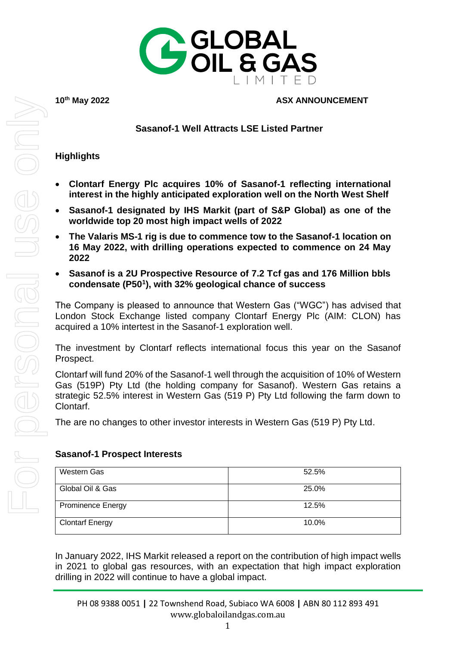

#### **10th May 2022 ASX ANNOUNCEMENT**

### **Sasanof-1 Well Attracts LSE Listed Partner**

#### **Highlights**

- **Clontarf Energy Plc acquires 10% of Sasanof-1 reflecting international interest in the highly anticipated exploration well on the North West Shelf**
- **Sasanof-1 designated by IHS Markit (part of S&P Global) as one of the worldwide top 20 most high impact wells of 2022**
- **The Valaris MS-1 rig is due to commence tow to the Sasanof-1 location on 16 May 2022, with drilling operations expected to commence on 24 May 2022**
- **Sasanof is a 2U Prospective Resource of 7.2 Tcf gas and 176 Million bbls condensate (P50<sup>1</sup> ), with 32% geological chance of success**

The Company is pleased to announce that Western Gas ("WGC") has advised that London Stock Exchange listed company Clontarf Energy Plc (AIM: CLON) has acquired a 10% intertest in the Sasanof-1 exploration well.

The investment by Clontarf reflects international focus this year on the Sasanof Prospect.

Clontarf will fund 20% of the Sasanof-1 well through the acquisition of 10% of Western Gas (519P) Pty Ltd (the holding company for Sasanof). Western Gas retains a strategic 52.5% interest in Western Gas (519 P) Pty Ltd following the farm down to Clontarf.

The are no changes to other investor interests in Western Gas (519 P) Pty Ltd.

#### **Sasanof-1 Prospect Interests**

| Western Gas              | 52.5% |
|--------------------------|-------|
| Global Oil & Gas         | 25.0% |
| <b>Prominence Energy</b> | 12.5% |
| <b>Clontarf Energy</b>   | 10.0% |

In January 2022, IHS Markit [released a report](https://ihsmarkit.com/research-analysis/2022-high-impact-well-report.html) on the contribution of high impact wells in 2021 to global gas resources, with an expectation that high impact exploration drilling in 2022 will continue to have a global impact.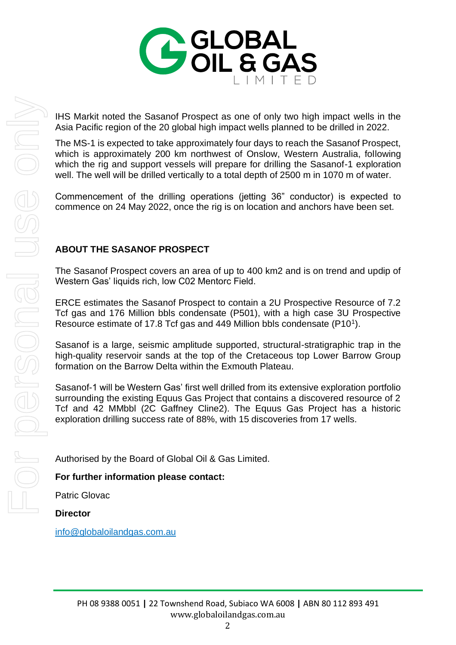

IHS Markit noted the Sasanof Prospect as one of only two high impact wells in the Asia Pacific region of the 20 global high impact wells planned to be drilled in 2022.

The MS-1 is expected to take approximately four days to reach the Sasanof Prospect, which is approximately 200 km northwest of Onslow, Western Australia, following which the rig and support vessels will prepare for drilling the Sasanof-1 exploration well. The well will be drilled vertically to a total depth of 2500 m in 1070 m of water.

Commencement of the drilling operations (jetting 36" conductor) is expected to commence on 24 May 2022, once the rig is on location and anchors have been set.

# **ABOUT THE SASANOF PROSPECT**

The Sasanof Prospect covers an area of up to 400 km2 and is on trend and updip of Western Gas' liquids rich, low C02 Mentorc Field.

ERCE estimates the Sasanof Prospect to contain a 2U Prospective Resource of 7.2 Tcf gas and 176 Million bbls condensate (P501), with a high case 3U Prospective Resource estimate of 17.8 Tcf gas and 449 Million bbls condensate (P10<sup>1</sup>).

Sasanof is a large, seismic amplitude supported, structural-stratigraphic trap in the high-quality reservoir sands at the top of the Cretaceous top Lower Barrow Group formation on the Barrow Delta within the Exmouth Plateau.

Sasanof-1 will be Western Gas' first well drilled from its extensive exploration portfolio surrounding the existing Equus Gas Project that contains a discovered resource of 2 Tcf and 42 MMbbl (2C Gaffney Cline2). The Equus Gas Project has a historic exploration drilling success rate of 88%, with 15 discoveries from 17 wells.

Authorised by the Board of Global Oil & Gas Limited.

# **For further information please contact:**

Patric Glovac

**Director**

[info@globaloilandgas.com.au](mailto:info@globaloilandgas.com.au)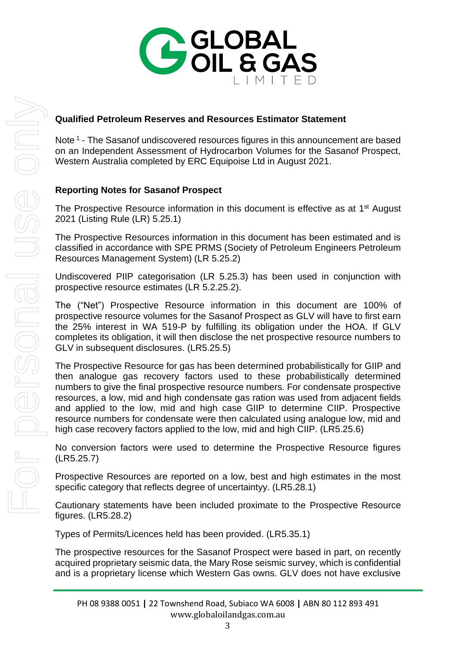

### **Qualified Petroleum Reserves and Resources Estimator Statement**

Note<sup>1</sup> - The Sasanof undiscovered resources figures in this announcement are based on an Independent Assessment of Hydrocarbon Volumes for the Sasanof Prospect, Western Australia completed by ERC Equipoise Ltd in August 2021.

## **Reporting Notes for Sasanof Prospect**

The Prospective Resource information in this document is effective as at 1<sup>st</sup> August 2021 (Listing Rule (LR) 5.25.1)

The Prospective Resources information in this document has been estimated and is classified in accordance with SPE PRMS (Society of Petroleum Engineers Petroleum Resources Management System) (LR 5.25.2)

Undiscovered PIIP categorisation (LR 5.25.3) has been used in conjunction with prospective resource estimates (LR 5.2.25.2).

The ("Net") Prospective Resource information in this document are 100% of prospective resource volumes for the Sasanof Prospect as GLV will have to first earn the 25% interest in WA 519-P by fulfilling its obligation under the HOA. If GLV completes its obligation, it will then disclose the net prospective resource numbers to GLV in subsequent disclosures. (LR5.25.5)

The Prospective Resource for gas has been determined probabilistically for GIIP and then analogue gas recovery factors used to these probabilistically determined numbers to give the final prospective resource numbers. For condensate prospective resources, a low, mid and high condensate gas ration was used from adjacent fields and applied to the low, mid and high case GIIP to determine CIIP. Prospective resource numbers for condensate were then calculated using analogue low, mid and high case recovery factors applied to the low, mid and high CIIP. (LR5.25.6)

No conversion factors were used to determine the Prospective Resource figures (LR5.25.7)

Prospective Resources are reported on a low, best and high estimates in the most specific category that reflects degree of uncertaintyy. (LR5.28.1)

Cautionary statements have been included proximate to the Prospective Resource figures. (LR5.28.2)

Types of Permits/Licences held has been provided. (LR5.35.1)

The prospective resources for the Sasanof Prospect were based in part, on recently acquired proprietary seismic data, the Mary Rose seismic survey, which is confidential and is a proprietary license which Western Gas owns. GLV does not have exclusive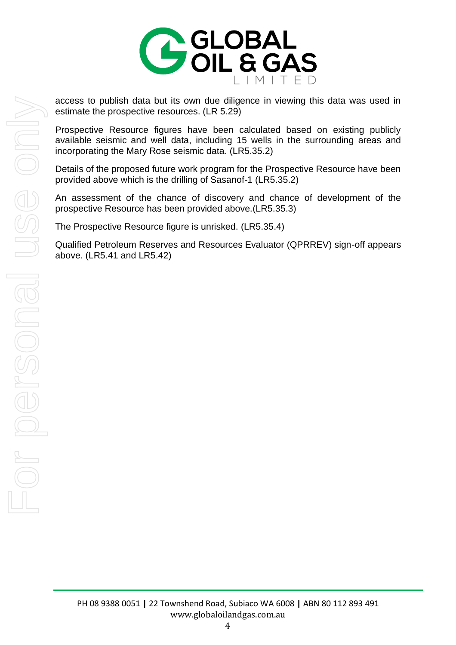

access to publish data but its own due diligence in viewing this data was used in estimate the prospective resources. (LR 5.29)

Prospective Resource figures have been calculated based on existing publicly available seismic and well data, including 15 wells in the surrounding areas and incorporating the Mary Rose seismic data. (LR5.35.2)

Details of the proposed future work program for the Prospective Resource have been provided above which is the drilling of Sasanof-1 (LR5.35.2)

An assessment of the chance of discovery and chance of development of the prospective Resource has been provided above.(LR5.35.3)

The Prospective Resource figure is unrisked. (LR5.35.4)

Qualified Petroleum Reserves and Resources Evaluator (QPRREV) sign-off appears above. (LR5.41 and LR5.42)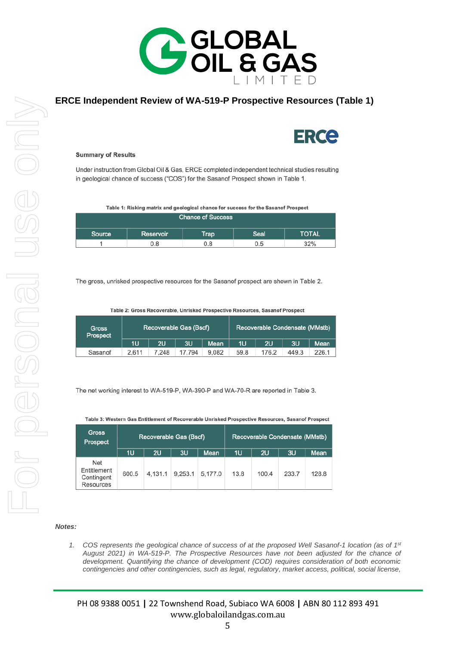

#### **ERCE Independent Review of WA-519-P Prospective Resources (Table 1)**



#### **Summary of Results**

Under instruction from Global Oil & Gas, ERCE completed independent technical studies resulting in geological chance of success ("COS") for the Sasanof Prospect shown in Table 1.

Table 1: Risking matrix and geological chance for success for the Sasanof Prospect

| <b>Chance of Success</b> |           |      |      |              |  |  |  |
|--------------------------|-----------|------|------|--------------|--|--|--|
| Source                   | Reservoir | Trap | Seal | <b>TOTAL</b> |  |  |  |
|                          | 0.8       | 0.8  | 0.5  | 32%          |  |  |  |

The gross, unrisked prospective resources for the Sasanof prospect are shown in Table 2.

Table 2: Gross Recoverable, Unrisked Prospective Resources, Sasanof Prospect

| <b>Gross</b><br>Prospect | Recoverable Gas (Bscf) |       |        |       | Recoverable Condensate (MMstb) |       |       |       |
|--------------------------|------------------------|-------|--------|-------|--------------------------------|-------|-------|-------|
|                          | 1U                     | 2U    | 3U     | Mean  | 1U                             | 2U    | 3U    | Mean  |
| Sasanof                  | 2.611                  | 7.248 | 17.794 | 9.082 | 59.8                           | 176.2 | 449.3 | 226.1 |

The net working interest to WA-519-P, WA-390-P and WA-70-R are reported in Table 3.

| <b>Gross</b><br>Prospect                             | Recoverable Gas (Bscf) |         |         |         | Recoverable Condensate (MMstb) |       |       |       |
|------------------------------------------------------|------------------------|---------|---------|---------|--------------------------------|-------|-------|-------|
|                                                      | 1U                     | 2U      | 3U      | Mean    | 1U                             | 2U    | 3U    | Mean  |
| Net<br>Entitlement<br>Contingent<br><b>Resources</b> | 600.5                  | 4.131.1 | 9,253.1 | 5,177.0 | 13.8                           | 100.4 | 233.7 | 128.8 |

Table 3: Western Gas Entitlement of Recoverable Unrisked Prospective Resources, Sasanof Prospect

#### *Notes:*

*1. COS represents the geological chance of success of at the proposed Well Sasanof-1 location (as of 1st August 2021) in WA-519-P. The Prospective Resources have not been adjusted for the chance of development. Quantifying the chance of development (COD) requires consideration of both economic contingencies and other contingencies, such as legal, regulatory, market access, political, social license,*

PH 08 9388 0051 **|** 22 Townshend Road, Subiaco WA 6008 **|** ABN 80 112 893 491 www.globaloilandgas.com.au